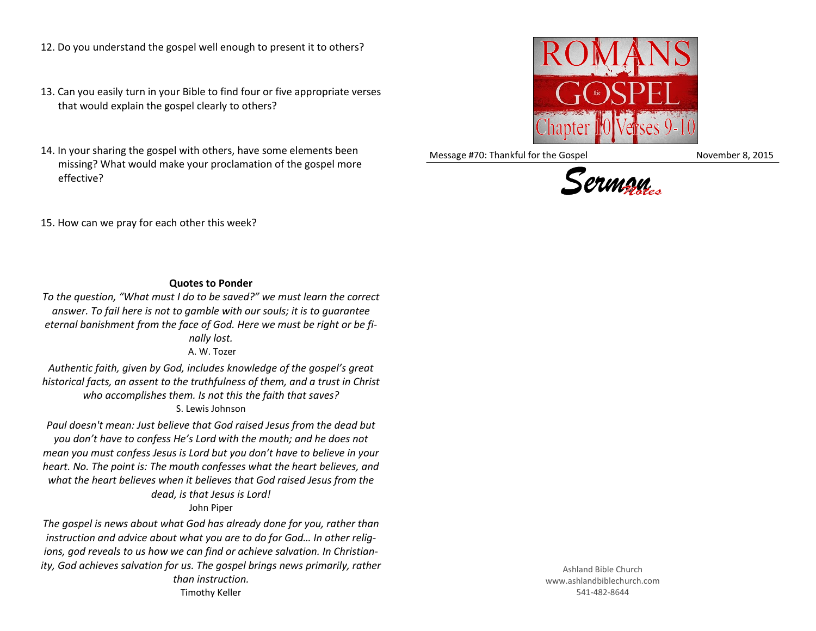- 12. Do you understand the gospel well enough to present it to others?
- 13. Can you easily turn in your Bible to find four or five appropriate verses that would explain the gospel clearly to others?
- 14. In your sharing the gospel with others, have some elements been missing? What would make your proclamation of the gospel more effective?



Message #70: Thankful for the Gospel November 8, 2015



15. How can we pray for each other this week?

## **Quotes to Ponder**

*To the question, "What must I do to be saved?" we must learn the correct answer. To fail here is not to gamble with our souls; it is to guarantee eternal banishment from the face of God. Here we must be right or be finally lost.* A. W. Tozer

*Authentic faith, given by God, includes knowledge of the gospel's great historical facts, an assent to the truthfulness of them, and a trust in Christ who accomplishes them. Is not this the faith that saves?* S. Lewis Johnson

*Paul doesn't mean: Just believe that God raised Jesus from the dead but you don't have to confess He's Lord with the mouth; and he does not mean you must confess Jesus is Lord but you don't have to believe in your heart. No. The point is: The mouth confesses what the heart believes, and what the heart believes when it believes that God raised Jesus from the dead, is that Jesus is Lord!*

John Piper

*The gospel is news about what God has already done for you, rather than instruction and advice about what you are to do for God… In other religions, god reveals to us how we can find or achieve salvation. In Christianity, God achieves salvation for us. The gospel brings news primarily, rather than instruction.*

Timothy Keller

Ashland Bible Church www.ashlandbiblechurch.com 541-482-8644